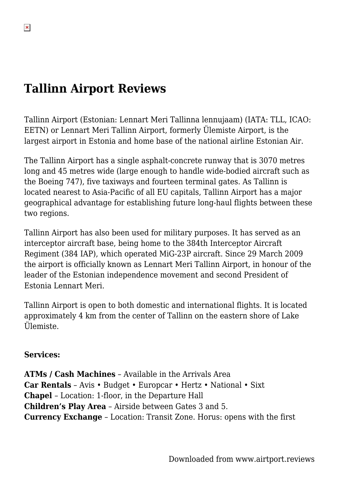### **Tallinn Airport Reviews**

Tallinn Airport (Estonian: Lennart Meri Tallinna lennujaam) (IATA: TLL, ICAO: EETN) or Lennart Meri Tallinn Airport, formerly Ülemiste Airport, is the largest airport in Estonia and home base of the national airline Estonian Air.

The Tallinn Airport has a single asphalt-concrete runway that is 3070 metres long and 45 metres wide (large enough to handle wide-bodied aircraft such as the Boeing 747), five taxiways and fourteen terminal gates. As Tallinn is located nearest to Asia-Pacific of all EU capitals, Tallinn Airport has a major geographical advantage for establishing future long-haul flights between these two regions.

Tallinn Airport has also been used for military purposes. It has served as an interceptor aircraft base, being home to the 384th Interceptor Aircraft Regiment (384 IAP), which operated MiG-23P aircraft. Since 29 March 2009 the airport is officially known as Lennart Meri Tallinn Airport, in honour of the leader of the Estonian independence movement and second President of Estonia Lennart Meri.

Tallinn Airport is open to both domestic and international flights. It is located approximately 4 km from the center of Tallinn on the eastern shore of Lake Ülemiste.

#### **Services:**

**ATMs / Cash Machines** – Available in the Arrivals Area **Car Rentals** – Avis • Budget • Europcar • Hertz • National • Sixt **Chapel** – Location: 1-floor, in the Departure Hall **Children's Play Area** – Airside between Gates 3 and 5. **Currency Exchange** – Location: Transit Zone. Horus: opens with the first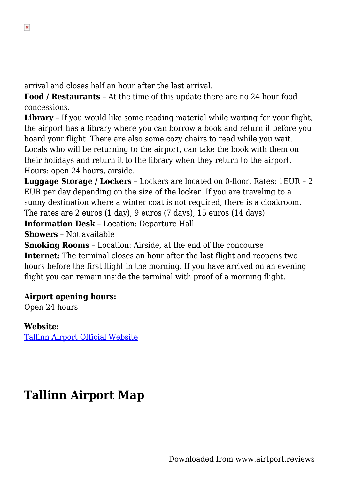arrival and closes half an hour after the last arrival.

**Food / Restaurants** – At the time of this update there are no 24 hour food concessions.

**Library** - If you would like some reading material while waiting for your flight, the airport has a library where you can borrow a book and return it before you board your flight. There are also some cozy chairs to read while you wait. Locals who will be returning to the airport, can take the book with them on their holidays and return it to the library when they return to the airport. Hours: open 24 hours, airside.

**Luggage Storage / Lockers** – Lockers are located on 0-floor. Rates: 1EUR – 2 EUR per day depending on the size of the locker. If you are traveling to a sunny destination where a winter coat is not required, there is a cloakroom. The rates are 2 euros (1 day), 9 euros (7 days), 15 euros (14 days).

**Information Desk** – Location: Departure Hall

**Showers** – Not available

**Smoking Rooms** – Location: Airside, at the end of the concourse **Internet:** The terminal closes an hour after the last flight and reopens two hours before the first flight in the morning. If you have arrived on an evening flight you can remain inside the terminal with proof of a morning flight.

### **Airport opening hours:**

Open 24 hours

### **Website:**

[Tallinn Airport Official Website](http://www.tallinn-airport.ee/eng)

# **Tallinn Airport Map**